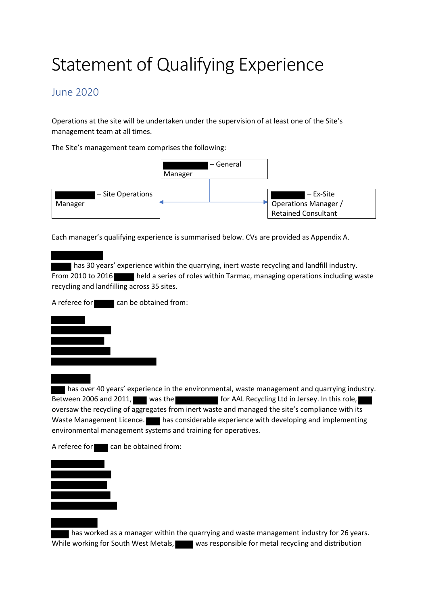## Statement of Qualifying Experience

## June 2020

Operations at the site will be undertaken under the supervision of at least one of the Site's management team at all times.

The Site's management team comprises the following:



Each manager's qualifying experience is summarised below. CVs are provided as Appendix A.

 has 30 years' experience within the quarrying, inert waste recycling and landfill industry. From 2010 to 2016 held a series of roles within Tarmac, managing operations including waste recycling and landfilling across 35 sites.

A referee for can be obtained from:



 has over 40 years' experience in the environmental, waste management and quarrying industry. Between 2006 and 2011, was the for MAL Recycling Ltd in Jersey. In this role, oversaw the recycling of aggregates from inert waste and managed the site's compliance with its Waste Management Licence. has considerable experience with developing and implementing environmental management systems and training for operatives.

A referee for  $\Box$  can be obtained from:



has worked as a manager within the quarrying and waste management industry for 26 years. While working for South West Metals, was responsible for metal recycling and distribution